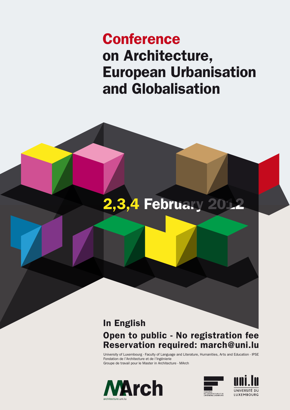# Conference on Architecture, European Urbanisation and Globalisation

# In English Open to public - No registration fee Reservation required: march@uni.lu

University of Luxembourg - Faculty of Language and Literature, Humanities, Arts and Education - IPSE Fondation de l'Architecture et de l'Ingénierie Groupe de travail pour le Master in Architecture - MArch